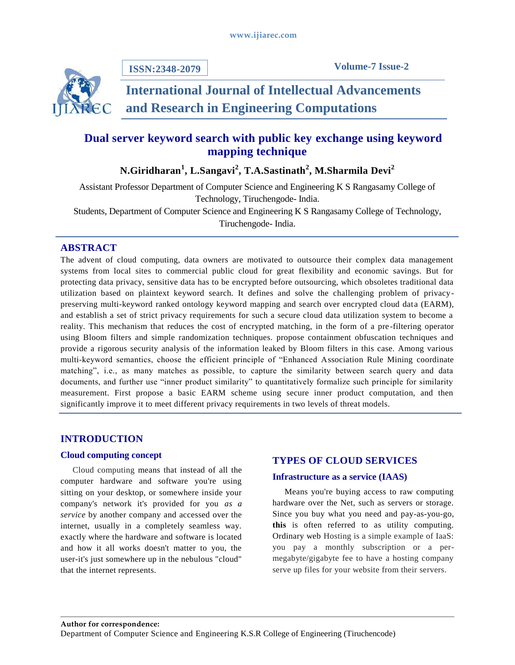

**ISSN:2348-2079**

# **International Journal of Intellectual Advancements and Research in Engineering Computations**

## **Dual server keyword search with public key exchange using keyword mapping technique**

## **N.Giridharan<sup>1</sup> , L.Sangavi<sup>2</sup> , T.A.Sastinath<sup>2</sup> , M.Sharmila Devi<sup>2</sup>**

Assistant Professor Department of Computer Science and Engineering K S Rangasamy College of Technology, Tiruchengode- India. Students, Department of Computer Science and Engineering K S Rangasamy College of Technology, Tiruchengode- India.

## **ABSTRACT**

The advent of cloud computing, data owners are motivated to outsource their complex data management systems from local sites to commercial public cloud for great flexibility and economic savings. But for protecting data privacy, sensitive data has to be encrypted before outsourcing, which obsoletes traditional data utilization based on plaintext keyword search. It defines and solve the challenging problem of privacypreserving multi-keyword ranked ontology keyword mapping and search over encrypted cloud data (EARM), and establish a set of strict privacy requirements for such a secure cloud data utilization system to become a reality. This mechanism that reduces the cost of encrypted matching, in the form of a pre -filtering operator using Bloom filters and simple randomization techniques. propose containment obfuscation techniques and provide a rigorous security analysis of the information leaked by Bloom filters in this case. Among various multi-keyword semantics, choose the efficient principle of "Enhanced Association Rule Mining coordinate matching", i.e., as many matches as possible, to capture the similarity between search query and data documents, and further use "inner product similarity" to quantitatively formalize such principle for similarity measurement. First propose a basic EARM scheme using secure inner product computation, and then significantly improve it to meet different privacy requirements in two levels of threat models.

## **INTRODUCTION**

## **Cloud computing concept**

Cloud computing means that instead of all the computer hardware and software you're using sitting on your desktop, or somewhere inside your company's network it's provided for you *as a service* by another company and accessed over the internet, usually in a completely seamless way. exactly where the hardware and software is located and how it all works doesn't matter to you, the user-it's just somewhere up in the nebulous "cloud" that the internet represents.

## **TYPES OF CLOUD SERVICES**

## **Infrastructure as a service (IAAS)**

Means you're buying access to raw computing hardware over the Net, such as servers or storage. Since you buy what you need and pay-as-you-go, **this** is often referred to as utility computing. Ordinary web Hosting is a simple example of IaaS: you pay a monthly subscription or a permegabyte/gigabyte fee to have a hosting company serve up files for your website from their servers.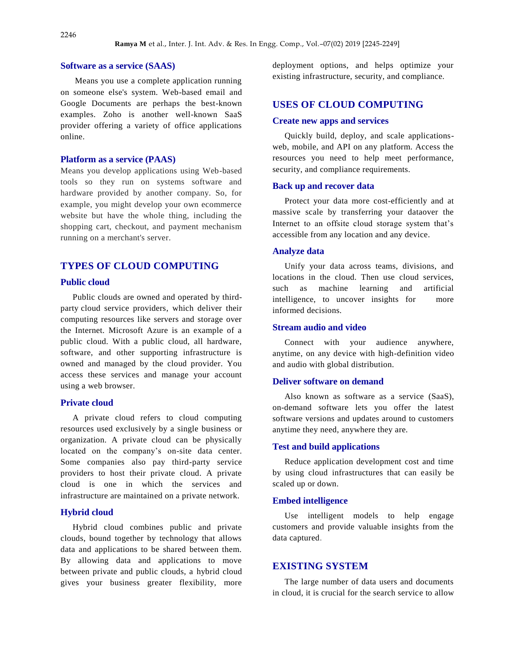### **Software as a service (SAAS)**

Means you use a complete application running on someone else's system. Web-based email and Google Documents are perhaps the best-known examples. Zoho is another well-known SaaS provider offering a variety of office applications online.

#### **Platform as a service (PAAS)**

Means you develop applications using Web-based tools so they run on systems software and hardware provided by another company. So, for example, you might develop your own ecommerce website but have the whole thing, including the shopping cart, checkout, and payment mechanism running on a merchant's server.

## **TYPES OF CLOUD COMPUTING**

#### **Public cloud**

Public clouds are owned and operated by thirdparty cloud service providers, which deliver their computing resources like servers and storage over the Internet. Microsoft Azure is an example of a public cloud. With a public cloud, all hardware, software, and other supporting infrastructure is owned and managed by the cloud provider. You access these services and manage your account using a web browser.

#### **Private cloud**

A private cloud refers to cloud computing resources used exclusively by a single business or organization. A private cloud can be physically located on the company's on-site data center. Some companies also pay third-party service providers to host their private cloud. A private cloud is one in which the services and infrastructure are maintained on a private network.

#### **Hybrid cloud**

Hybrid cloud combines public and private clouds, bound together by technology that allows data and applications to be shared between them. By allowing data and applications to move between private and public clouds, a hybrid cloud gives your business greater flexibility, more deployment options, and helps optimize your existing infrastructure, security, and compliance.

### **USES OF CLOUD COMPUTING**

#### **Create new apps and services**

Quickly build, deploy, and scale applicationsweb, mobile, and API on any platform. Access the resources you need to help meet performance, security, and compliance requirements.

#### **Back up and recover data**

Protect your data more cost-efficiently and at massive scale by transferring your dataover the Internet to an offsite cloud storage system that's accessible from any location and any device.

#### **Analyze data**

Unify your data across teams, divisions, and locations in the cloud. Then use cloud services, such as machine learning and artificial intelligence, to uncover insights for more informed decisions.

### **Stream audio and video**

Connect with your audience anywhere, anytime, on any device with high-definition video and audio with global distribution.

#### **Deliver software on demand**

Also known as software as a service (SaaS), on-demand software lets you offer the latest software versions and updates around to customers anytime they need, anywhere they are.

#### **Test and build applications**

Reduce application development cost and time by using cloud infrastructures that can easily be scaled up or down.

#### **Embed intelligence**

Use intelligent models to help engage customers and provide valuable insights from the data captured.

## **EXISTING SYSTEM**

The large number of data users and documents in cloud, it is crucial for the search service to allow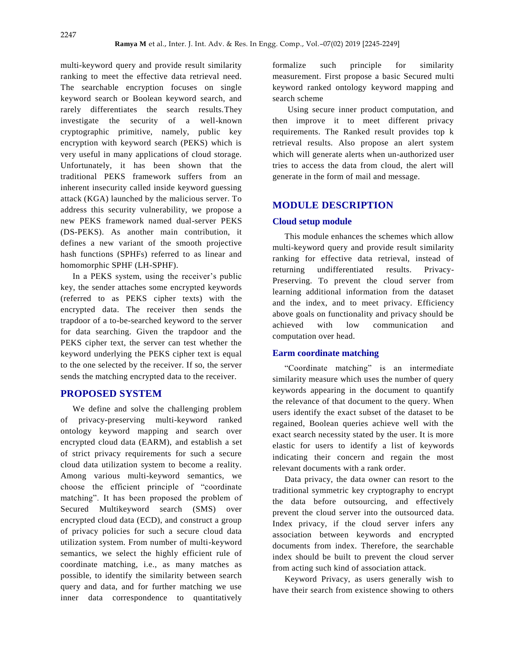multi-keyword query and provide result similarity ranking to meet the effective data retrieval need. The searchable encryption focuses on single keyword search or Boolean keyword search, and rarely differentiates the search results.They investigate the security of a well-known cryptographic primitive, namely, public key encryption with keyword search (PEKS) which is very useful in many applications of cloud storage. Unfortunately, it has been shown that the traditional PEKS framework suffers from an inherent insecurity called inside keyword guessing attack (KGA) launched by the malicious server. To address this security vulnerability, we propose a new PEKS framework named dual-server PEKS (DS-PEKS). As another main contribution, it defines a new variant of the smooth projective hash functions (SPHFs) referred to as linear and homomorphic SPHF (LH-SPHF).

In a PEKS system, using the receiver's public key, the sender attaches some encrypted keywords (referred to as PEKS cipher texts) with the encrypted data. The receiver then sends the trapdoor of a to-be-searched keyword to the server for data searching. Given the trapdoor and the PEKS cipher text, the server can test whether the keyword underlying the PEKS cipher text is equal to the one selected by the receiver. If so, the server sends the matching encrypted data to the receiver.

## **PROPOSED SYSTEM**

We define and solve the challenging problem of privacy-preserving multi-keyword ranked ontology keyword mapping and search over encrypted cloud data (EARM), and establish a set of strict privacy requirements for such a secure cloud data utilization system to become a reality. Among various multi-keyword semantics, we choose the efficient principle of "coordinate matching". It has been proposed the problem of Secured Multikeyword search (SMS) over encrypted cloud data (ECD), and construct a group of privacy policies for such a secure cloud data utilization system. From number of multi-keyword semantics, we select the highly efficient rule of coordinate matching, i.e., as many matches as possible, to identify the similarity between search query and data, and for further matching we use inner data correspondence to quantitatively formalize such principle for similarity measurement. First propose a basic Secured multi keyword ranked ontology keyword mapping and search scheme

Using secure inner product computation, and then improve it to meet different privacy requirements. The Ranked result provides top k retrieval results. Also propose an alert system which will generate alerts when un-authorized user tries to access the data from cloud, the alert will generate in the form of mail and message.

## **MODULE DESCRIPTION**

#### **Cloud setup module**

This module enhances the schemes which allow multi-keyword query and provide result similarity ranking for effective data retrieval, instead of returning undifferentiated results. Privacy-Preserving. To prevent the cloud server from learning additional information from the dataset and the index, and to meet privacy. Efficiency above goals on functionality and privacy should be achieved with low communication and computation over head.

#### **Earm coordinate matching**

"Coordinate matching" is an intermediate similarity measure which uses the number of query keywords appearing in the document to quantify the relevance of that document to the query. When users identify the exact subset of the dataset to be regained, Boolean queries achieve well with the exact search necessity stated by the user. It is more elastic for users to identify a list of keywords indicating their concern and regain the most relevant documents with a rank order.

Data privacy, the data owner can resort to the traditional symmetric key cryptography to encrypt the data before outsourcing, and effectively prevent the cloud server into the outsourced data. Index privacy, if the cloud server infers any association between keywords and encrypted documents from index. Therefore, the searchable index should be built to prevent the cloud server from acting such kind of association attack.

Keyword Privacy, as users generally wish to have their search from existence showing to others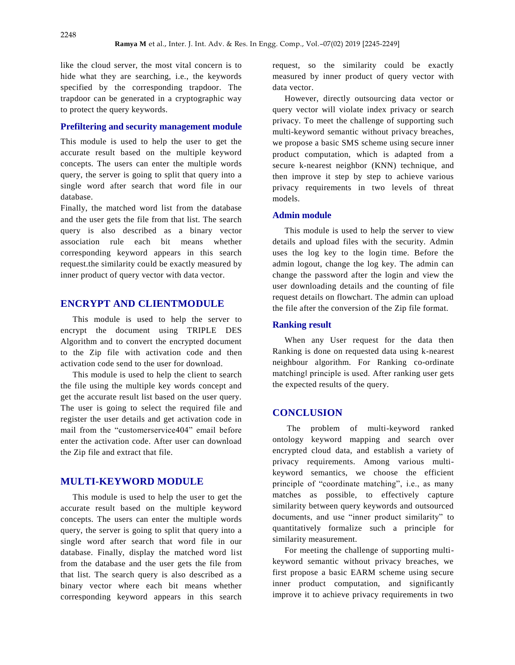like the cloud server, the most vital concern is to hide what they are searching, i.e., the keywords specified by the corresponding trapdoor. The trapdoor can be generated in a cryptographic way to protect the query keywords.

### **Prefiltering and security management module**

This module is used to help the user to get the accurate result based on the multiple keyword concepts. The users can enter the multiple words query, the server is going to split that query into a single word after search that word file in our database.

Finally, the matched word list from the database and the user gets the file from that list. The search query is also described as a binary vector association rule each bit means whether corresponding keyword appears in this search request.the similarity could be exactly measured by inner product of query vector with data vector.

### **ENCRYPT AND CLIENTMODULE**

This module is used to help the server to encrypt the document using TRIPLE DES Algorithm and to convert the encrypted document to the Zip file with activation code and then activation code send to the user for download.

This module is used to help the client to search the file using the multiple key words concept and get the accurate result list based on the user query. The user is going to select the required file and register the user details and get activation code in mail from the "customerservice404" email before enter the activation code. After user can download the Zip file and extract that file.

## **MULTI-KEYWORD MODULE**

This module is used to help the user to get the accurate result based on the multiple keyword concepts. The users can enter the multiple words query, the server is going to split that query into a single word after search that word file in our database. Finally, display the matched word list from the database and the user gets the file from that list. The search query is also described as a binary vector where each bit means whether corresponding keyword appears in this search

request, so the similarity could be exactly measured by inner product of query vector with data vector.

However, directly outsourcing data vector or query vector will violate index privacy or search privacy. To meet the challenge of supporting such multi-keyword semantic without privacy breaches, we propose a basic SMS scheme using secure inner product computation, which is adapted from a secure k-nearest neighbor (KNN) technique, and then improve it step by step to achieve various privacy requirements in two levels of threat models.

#### **Admin module**

This module is used to help the server to view details and upload files with the security. Admin uses the log key to the login time. Before the admin logout, change the log key. The admin can change the password after the login and view the user downloading details and the counting of file request details on flowchart. The admin can upload the file after the conversion of the Zip file format.

#### **Ranking result**

When any User request for the data then Ranking is done on requested data using k-nearest neighbour algorithm. For Ranking co-ordinate matching‖ principle is used. After ranking user gets the expected results of the query.

#### **CONCLUSION**

The problem of multi-keyword ranked ontology keyword mapping and search over encrypted cloud data, and establish a variety of privacy requirements. Among various multikeyword semantics, we choose the efficient principle of "coordinate matching", i.e., as many matches as possible, to effectively capture similarity between query keywords and outsourced documents, and use "inner product similarity" to quantitatively formalize such a principle for similarity measurement.

For meeting the challenge of supporting multikeyword semantic without privacy breaches, we first propose a basic EARM scheme using secure inner product computation, and significantly improve it to achieve privacy requirements in two